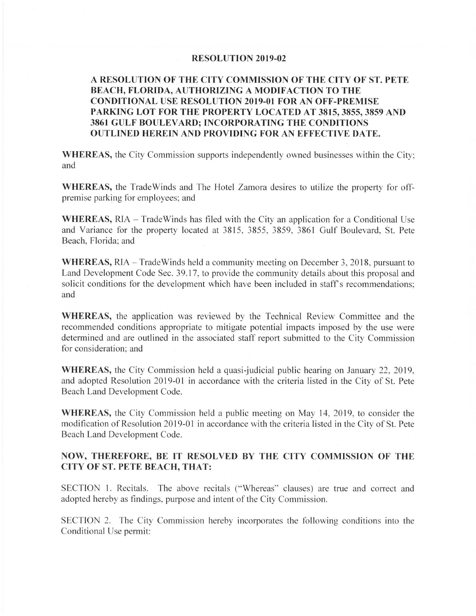## **RESOLUTION 2019-02**

## **A RESOLUTION OF THE CITY COMMISSION OF THE CITY OF ST. PETE BEACH, FLORIDA, AUTHORIZING A MODIFACTION TO THE CONDITIONAL USE RESOLUTION 2019-01 FOR AN OFF-PREMISE PARKING LOT FOR THE PROPERTY LOCATED AT 3815, 3855, 3859 AND 3861 GULF BOULEVARD; INCORPORATING THE CONDITIONS OUTLINED HEREIN AND PROVIDING FOR AN EFFECTIVE DATE.**

**WHEREAS,** the City Commission supports independently owned businesses within the City; and

**WHEREAS,** the Trade Winds and The Hotel Zamora desires to utilize the property for offpremise parking for employees; and

**WHEREAS,** RIA - TradeWinds has filed with the City an application for a Conditional Use and Variance for the property located at 3815, 3855, 3859, 3861 Gulf Boulevard, St. Pete Beach, Florida; and

**WHEREAS,** RIA - Trade Winds held a community meeting on December 3, 2018, pursuant to Land Development Code Sec. 39.17, to provide the community details about this proposal and solicit conditions for the development which have been included in staff's recommendations; and

**WHEREAS,** the application was reviewed by the Technical Review Committee and the recommended conditions appropriate to mitigate potential impacts imposed by the use were determined and are outlined in the associated staff report submitted to the City Commission for consideration; and

**WHEREAS,** the City Commission held a quasi-judicial public hearing on January 22, 2019, and adopted Resolution 2019-01 in accordance with the criteria listed in the City of St. Pete Beach Land Development Code.

**WHEREAS,** the City Commission held a public meeting on May 14, 2019, to consider the modification of Resolution 2019-01 in accordance with the criteria listed in the City of St. Pete Beach Land Development Code.

## **NOW, THEREFORE, BE IT RESOLVED BY THE CITY COMMISSION OF THE CITY OF ST. PETE BEACH, THAT:**

SECTION 1. Recitals. The above recitals (" Whereas" clauses) are true and correct and adopted hereby as findings, purpose and intent of the City Commission.

SECTION 2. The City Commission hereby incorporates the following conditions into the Conditional Use permit: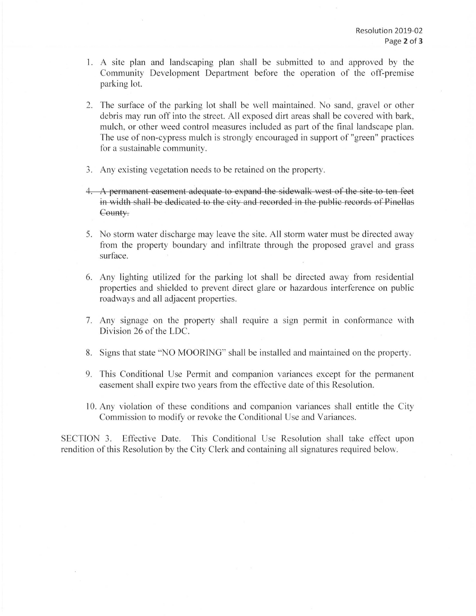- I. A site plan and landscaping plan shall be submitted to and approved by the Community Development Department before the operation of the off-premise parking lot.
- 2. The surface of the parking lot shall be well maintained. No sand, gravel or other debris may run off into the street. All exposed dirt areas shall be covered with bark, mulch, or other weed control measures included as part of the final landscape plan. The use of non-cypress mulch is strongly encouraged in support of "green" practices for a sustainable community.
- 3. Any existing vegetation needs to be retained on the property.
- 1. A permanent easement adequate to expand the sidewalk west of the site to ten feet in width shall be dedicated to the city and recorded in the public records of Pinellas County.
- 5. No storm water discharge may leave the site. All storm water must be directed away from the property boundary and infiltrate through the proposed gravel and grass surface.
- 6. Any lighting utilized for the parking lot shall be directed away from residential properties and shielded to prevent direct glare or hazardous interference on public roadways and all adjacent properties.
- 7. Any signage on the property shall require a sign permit in conformance with Division 26 of the LDC.
- 8. Signs that state "NO MOORING" shall be installed and maintained on the property.
- 9. This Conditional Use Permit and companion variances except for the permanent easement shall expire two years from the effective date of this Resolution.
- 10. Any violation of these conditions and companion variances shall entitle the City Commission to modify or revoke the Conditional Use and Variances.

SECTION 3. Effective Date. This Conditional Use Resolution shall take effect upon rendition of this Resolution by the City Clerk and containing all signatures required below.